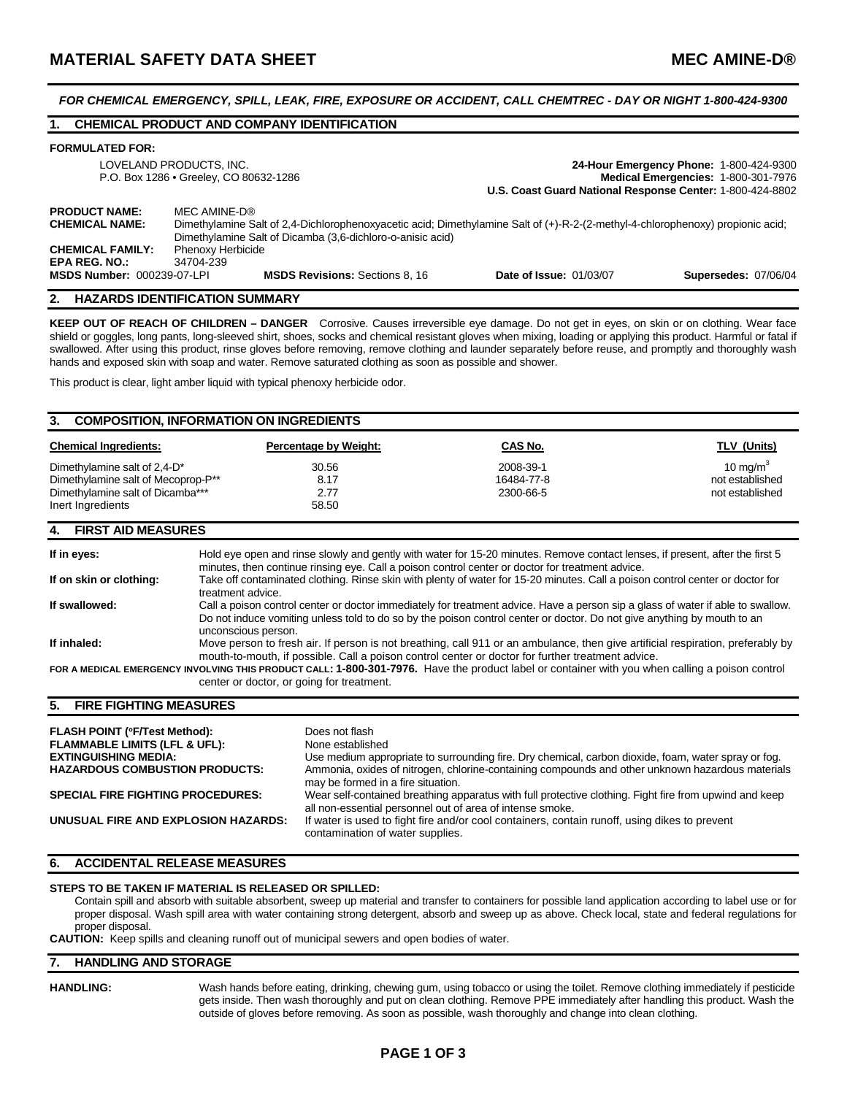*FOR CHEMICAL EMERGENCY, SPILL, LEAK, FIRE, EXPOSURE OR ACCIDENT, CALL CHEMTREC - DAY OR NIGHT 1-800-424-9300* 

# **1. CHEMICAL PRODUCT AND COMPANY IDENTIFICATION**

#### **FORMULATED FOR:**

|                                                                          | LOVELAND PRODUCTS, INC.<br>P.O. Box 1286 . Greeley, CO 80632-1286                                                                                                                                                                 | U.S. Coast Guard National Response Center: 1-800-424-8802 | 24-Hour Emergency Phone: 1-800-424-9300<br>Medical Emergencies: 1-800-301-7976 |
|--------------------------------------------------------------------------|-----------------------------------------------------------------------------------------------------------------------------------------------------------------------------------------------------------------------------------|-----------------------------------------------------------|--------------------------------------------------------------------------------|
| <b>PRODUCT NAME:</b><br><b>CHEMICAL NAME:</b><br><b>CHEMICAL FAMILY:</b> | MFC AMINE-D®<br>Dimethylamine Salt of 2.4-Dichlorophenoxyacetic acid; Dimethylamine Salt of (+)-R-2-(2-methyl-4-chlorophenoxy) propionic acid;<br>Dimethylamine Salt of Dicamba (3,6-dichloro-o-anisic acid)<br>Phenoxy Herbicide |                                                           |                                                                                |
| <b>EPA REG. NO.:</b><br><b>MSDS Number: 000239-07-LPI</b>                | 34704-239<br><b>MSDS Revisions: Sections 8, 16</b>                                                                                                                                                                                | <b>Date of Issue: 01/03/07</b>                            | <b>Supersedes: 07/06/04</b>                                                    |

# **2. HAZARDS IDENTIFICATION SUMMARY**

**KEEP OUT OF REACH OF CHILDREN – DANGER** Corrosive. Causes irreversible eye damage. Do not get in eyes, on skin or on clothing. Wear face shield or goggles, long pants, long-sleeved shirt, shoes, socks and chemical resistant gloves when mixing, loading or applying this product. Harmful or fatal if swallowed. After using this product, rinse gloves before removing, remove clothing and launder separately before reuse, and promptly and thoroughly wash hands and exposed skin with soap and water. Remove saturated clothing as soon as possible and shower.

This product is clear, light amber liquid with typical phenoxy herbicide odor.

### **3. COMPOSITION, INFORMATION ON INGREDIENTS**

| <b>Chemical Ingredients:</b>                                                                                                   | <b>Percentage by Weight:</b> | CAS No.                              | TLV (Units)                                                |
|--------------------------------------------------------------------------------------------------------------------------------|------------------------------|--------------------------------------|------------------------------------------------------------|
| Dimethylamine salt of 2,4-D <sup>*</sup><br>Dimethylamine salt of Mecoprop-P <sup>**</sup><br>Dimethylamine salt of Dicamba*** | 30.56<br>8.17<br>2.77        | 2008-39-1<br>16484-77-8<br>2300-66-5 | 10 mg/m <sup>3</sup><br>not established<br>not established |
| Inert Ingredients                                                                                                              | 58.50                        |                                      |                                                            |

### **4. FIRST AID MEASURES**

| If in eyes:             | Hold eye open and rinse slowly and gently with water for 15-20 minutes. Remove contact lenses, if present, after the first 5<br>minutes, then continue rinsing eye. Call a poison control center or doctor for treatment advice.                                                  |
|-------------------------|-----------------------------------------------------------------------------------------------------------------------------------------------------------------------------------------------------------------------------------------------------------------------------------|
| If on skin or clothing: | Take off contaminated clothing. Rinse skin with plenty of water for 15-20 minutes. Call a poison control center or doctor for<br>treatment advice.                                                                                                                                |
| If swallowed:           | Call a poison control center or doctor immediately for treatment advice. Have a person sip a glass of water if able to swallow.<br>Do not induce vomiting unless told to do so by the poison control center or doctor. Do not give anything by mouth to an<br>unconscious person. |
| If inhaled:             | Move person to fresh air. If person is not breathing, call 911 or an ambulance, then give artificial respiration, preferably by<br>mouth-to-mouth, if possible. Call a poison control center or doctor for further treatment advice.                                              |
|                         | FOR A MEDICAL EMERGENCY INVOLVING THIS PRODUCT CALL: 1-800-301-7976. Have the product label or container with you when calling a poison control<br>center or doctor, or going for treatment.                                                                                      |

# **5. FIRE FIGHTING MEASURES**

| <b>FLASH POINT (°F/Test Method):</b><br><b>FLAMMABLE LIMITS (LFL &amp; UFL):</b><br><b>EXTINGUISHING MEDIA:</b><br><b>HAZARDOUS COMBUSTION PRODUCTS:</b> | Does not flash<br>None established<br>Use medium appropriate to surrounding fire. Dry chemical, carbon dioxide, foam, water spray or fog.<br>Ammonia, oxides of nitrogen, chlorine-containing compounds and other unknown hazardous materials |
|----------------------------------------------------------------------------------------------------------------------------------------------------------|-----------------------------------------------------------------------------------------------------------------------------------------------------------------------------------------------------------------------------------------------|
| <b>SPECIAL FIRE FIGHTING PROCEDURES:</b>                                                                                                                 | may be formed in a fire situation.<br>Wear self-contained breathing apparatus with full protective clothing. Fight fire from upwind and keep<br>all non-essential personnel out of area of intense smoke.                                     |
| UNUSUAL FIRE AND EXPLOSION HAZARDS:                                                                                                                      | If water is used to fight fire and/or cool containers, contain runoff, using dikes to prevent<br>contamination of water supplies.                                                                                                             |

# **6. ACCIDENTAL RELEASE MEASURES**

# **STEPS TO BE TAKEN IF MATERIAL IS RELEASED OR SPILLED:**

Contain spill and absorb with suitable absorbent, sweep up material and transfer to containers for possible land application according to label use or for proper disposal. Wash spill area with water containing strong detergent, absorb and sweep up as above. Check local, state and federal regulations for proper disposal.

**CAUTION:** Keep spills and cleaning runoff out of municipal sewers and open bodies of water.

# **7. HANDLING AND STORAGE**

**HANDLING:** Wash hands before eating, drinking, chewing gum, using tobacco or using the toilet. Remove clothing immediately if pesticide gets inside. Then wash thoroughly and put on clean clothing. Remove PPE immediately after handling this product. Wash the outside of gloves before removing. As soon as possible, wash thoroughly and change into clean clothing.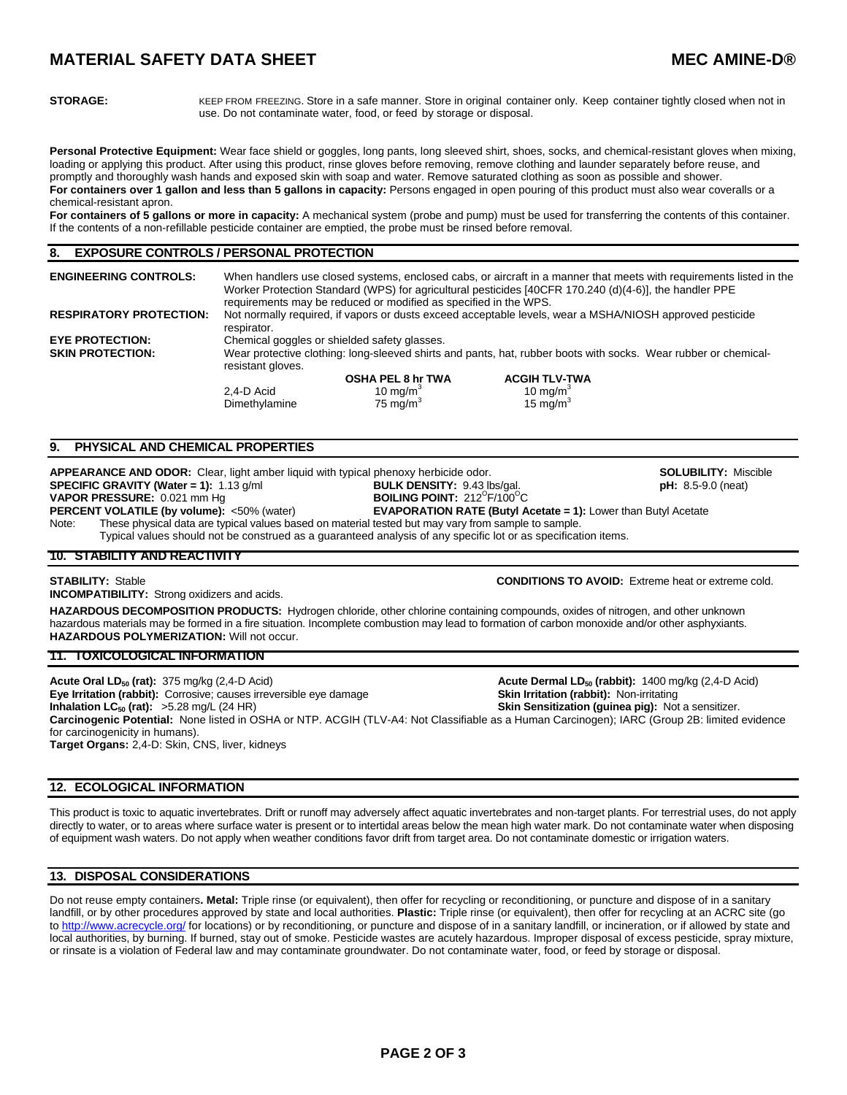# **MATERIAL SAFETY DATA SHEET MEC AMINE-D®**

**STORAGE:** KEEP FROM FREEZING. Store in a safe manner. Store in original container only. Keep container tightly closed when not in use. Do not contaminate water, food, or feed by storage or disposal.

Personal Protective Equipment: Wear face shield or goggles, long pants, long sleeved shirt, shoes, socks, and chemical-resistant gloves when mixing, loading or applying this product. After using this product, rinse gloves before removing, remove clothing and launder separately before reuse, and promptly and thoroughly wash hands and exposed skin with soap and water. Remove saturated clothing as soon as possible and shower. **For containers over 1 gallon and less than 5 gallons in capacity:** Persons engaged in open pouring of this product must also wear coveralls or a chemical-resistant apron.

**For containers of 5 gallons or more in capacity:** A mechanical system (probe and pump) must be used for transferring the contents of this container. If the contents of a non-refillable pesticide container are emptied, the probe must be rinsed before removal.

# **8. EXPOSURE CONTROLS / PERSONAL PROTECTION**

| <b>ENGINEERING CONTROLS:</b>   | When handlers use closed systems, enclosed cabs, or aircraft in a manner that meets with requirements listed in the<br>Worker Protection Standard (WPS) for agricultural pesticides [40CFR 170.240 (d)(4-6)], the handler PPE<br>requirements may be reduced or modified as specified in the WPS. |                          |                      |  |
|--------------------------------|---------------------------------------------------------------------------------------------------------------------------------------------------------------------------------------------------------------------------------------------------------------------------------------------------|--------------------------|----------------------|--|
| <b>RESPIRATORY PROTECTION:</b> | Not normally required, if vapors or dusts exceed acceptable levels, wear a MSHA/NIOSH approved pesticide<br>respirator.                                                                                                                                                                           |                          |                      |  |
| <b>EYE PROTECTION:</b>         | Chemical goggles or shielded safety glasses.                                                                                                                                                                                                                                                      |                          |                      |  |
| <b>SKIN PROTECTION:</b>        | Wear protective clothing: long-sleeved shirts and pants, hat, rubber boots with socks. Wear rubber or chemical-<br>resistant gloves.                                                                                                                                                              |                          |                      |  |
|                                |                                                                                                                                                                                                                                                                                                   | <b>OSHA PEL 8 hr TWA</b> | <b>ACGIH TLV-TWA</b> |  |
|                                | 2.4-D Acid                                                                                                                                                                                                                                                                                        | 10 mg/m <sup>3</sup>     | 10 mg/m <sup>3</sup> |  |
|                                | Dimethylamine                                                                                                                                                                                                                                                                                     | 75 mg/m <sup>3</sup>     | 15 mg/m <sup>3</sup> |  |

# **9. PHYSICAL AND CHEMICAL PROPERTIES**

**APPEARANCE AND ODOR:** Clear, light amber liquid with typical phenoxy herbicide odor. **SOLUBILITY: SOLUBILITY:** Miscible **SPECIFIC GRAVITY (Water = 1):** 1.13 g/ml **BULK DENSITY:** 9.43 lbs/gal. **SULUBILITY: 9.5-9.0** (neat) **SPECIFIC GRAVITY (Water = 1):** 1.13 g/ml **BULK DENSITY:** 9.43 lbs/gal. **pH:** 8.5-9.0 (neat) **VAPOR PRESSURE:** 0.021 mm Hg<br>**PERCENT VOLATILE (by volume):** <50% (water)  $F/100^{\circ}C$ 

**EVAPORATION RATE (Butyl Acetate = 1): Lower than Butyl Acetate** Note: These physical data are typical values based on material tested but may vary from sample to sample. Typical values should not be construed as a guaranteed analysis of any specific lot or as specification items.

# **10. STABILITY AND REACTIVITY**

# **STABILITY:** Stable **CONDITIONS TO AVOID:** Extreme heat or extreme cold.

**INCOMPATIBILITY:** Strong oxidizers and acids.

**HAZARDOUS DECOMPOSITION PRODUCTS:** Hydrogen chloride, other chlorine containing compounds, oxides of nitrogen, and other unknown hazardous materials may be formed in a fire situation. Incomplete combustion may lead to formation of carbon monoxide and/or other asphyxiants. **HAZARDOUS POLYMERIZATION:** Will not occur.

# **11. TOXICOLOGICAL INFORMATION**

**Acute Oral LD<sub>50</sub> (rat):** 375 mg/kg (2,4-D Acid) **Acute Dermal LD<sub>50</sub> (rabbit):** 1400 mg/kg (2,4-D Acid) **Eye Irritation (rabbit):** 1400 mg/kg (2,4-D Acid) **Eye Irritation (rabbit):** Non-irritating **Eye Irritation (rabbit):** Corrosive; causes irreversible eye damage **Inhalation LC<sub>50</sub> (rat):**  $>5.28$  mg/L (24 HR) **Skin Sensitization (guinea pig):** Not a sensitizer. **Carcinogenic Potential:** None listed in OSHA or NTP. ACGIH (TLV-A4: Not Classifiable as a Human Carcinogen); IARC (Group 2B: limited evidence for carcinogenicity in humans). **Target Organs:** 2,4-D: Skin, CNS, liver, kidneys

# **12. ECOLOGICAL INFORMATION**

This product is toxic to aquatic invertebrates. Drift or runoff may adversely affect aquatic invertebrates and non-target plants. For terrestrial uses, do not apply directly to water, or to areas where surface water is present or to intertidal areas below the mean high water mark. Do not contaminate water when disposing of equipment wash waters. Do not apply when weather conditions favor drift from target area. Do not contaminate domestic or irrigation waters.

# **13. DISPOSAL CONSIDERATIONS**

Do not reuse empty containers**. Metal:** Triple rinse (or equivalent), then offer for recycling or reconditioning, or puncture and dispose of in a sanitary landfill, or by other procedures approved by state and local authorities. **Plastic:** Triple rinse (or equivalent), then offer for recycling at an ACRC site (go to http://www.acrecycle.org/ for locations) or by reconditioning, or puncture and dispose of in a sanitary landfill, or incineration, or if allowed by state and local authorities, by burning. If burned, stay out of smoke. Pesticide wastes are acutely hazardous. Improper disposal of excess pesticide, spray mixture, or rinsate is a violation of Federal law and may contaminate groundwater. Do not contaminate water, food, or feed by storage or disposal.